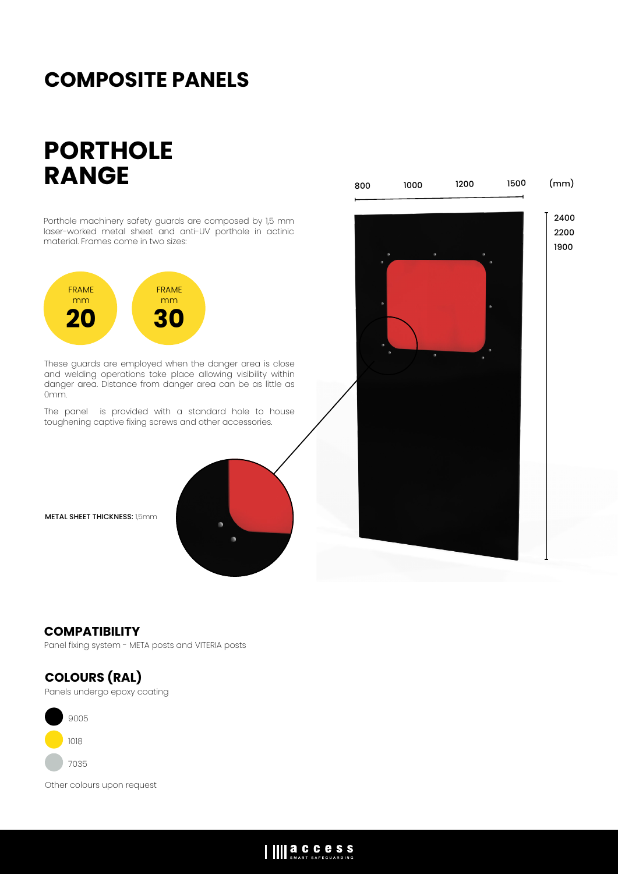## **COMPOSITE PANELS**

# **PORTHOLE RANGE**

Porthole machinery safety guards are composed by 1,5 mm laser-worked metal sheet and anti-UV porthole in actinic material. Frames come in two sizes: These guards are employed when the danger area is close and welding operations take place allowing visibility within danger area. Distance from danger area can be as little as 0mm. The panel is provided with a standard hole to house toughening captive fixing screws and other accessories. FRAME mm **20** FRAME mm **30** 2400 2200 1900 800 1000 1200 1500 (mm)

METAL SHEET THICKNESS: 1,5mm

### **COMPATIBILITY**

Panel fixing system - META posts and VITERIA posts



<sup>9005</sup>

- <sup>1018</sup>
	- <sup>7035</sup>

Other colours upon request